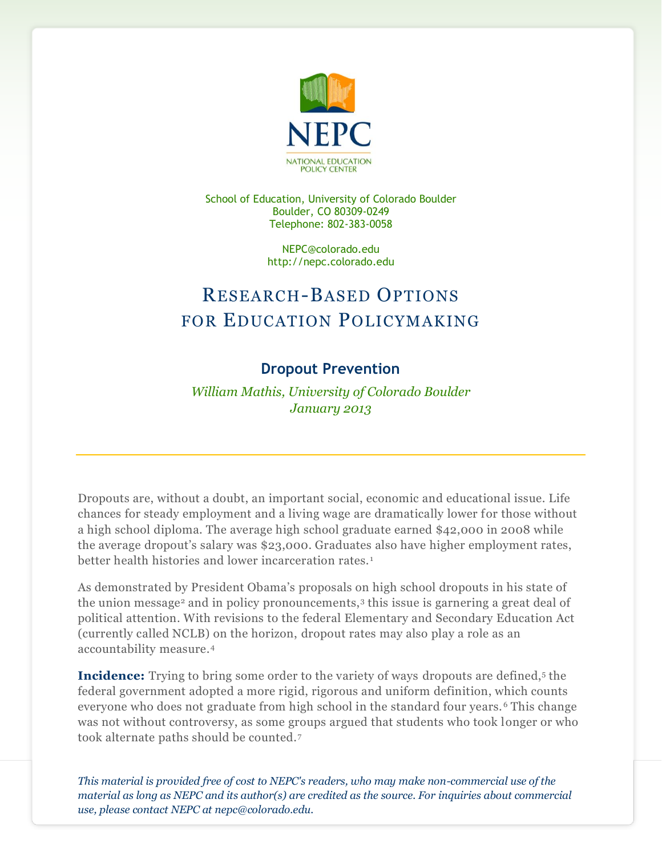

School of Education, University of Colorado Boulder Boulder, CO 80309-0249 Telephone: 802-383-0058

> NEPC@colorado.edu http://nepc.colorado.edu

# RESEARCH-BASED OPTIONS FOR EDUCATION POLICYMAKING

## **Dropout Prevention**

*William Mathis, University of Colorado Boulder January 2013*

Dropouts are, without a doubt, an important social, economic and educational issue. Life chances for steady employment and a living wage are dramatically lower for those without a high school diploma. The average high school graduate earned \$42,000 in 2008 while the average dropout's salary was \$23,000. Graduates also have higher employment rates, better health histories and lower incarceration rates.<sup>1</sup>

As demonstrated by President Obama's proposals on high school dropouts in his state of the union message<sup>2</sup> and in policy pronouncements,<sup>3</sup> this issue is garnering a great deal of political attention. With revisions to the federal Elementary and Secondary Education Act (currently called NCLB) on the horizon, dropout rates may also play a role as an accountability measure.<sup>4</sup>

**Incidence:** Trying to bring some order to the variety of ways dropouts are defined,<sup>5</sup> the federal government adopted a more rigid, rigorous and uniform definition, which counts everyone who does not graduate from high school in the standard four years. <sup>6</sup> This change was not without controversy, as some groups argued that students who took longer or who took alternate paths should be counted.7

*This material is provided free of cost to NEPC's readers, who may make non-commercial use of the material as long as NEPC and its author(s) are credited as the source. For inquiries about commercial use, please contact NEPC at nepc@colorado.edu.*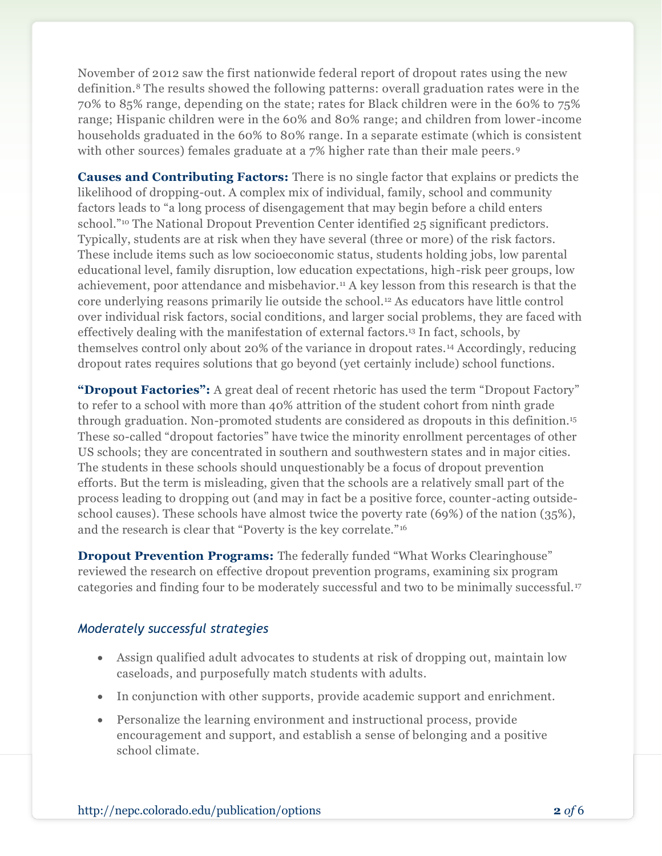November of 2012 saw the first nationwide federal report of dropout rates using the new definition.<sup>8</sup> The results showed the following patterns: overall graduation rates were in the 70% to 85% range, depending on the state; rates for Black children were in the 60% to 75% range; Hispanic children were in the 60% and 80% range; and children from lower -income households graduated in the 60% to 80% range. In a separate estimate (which is consistent with other sources) females graduate at a 7% higher rate than their male peers.<sup>9</sup>

**Causes and Contributing Factors:** There is no single factor that explains or predicts the likelihood of dropping-out. A complex mix of individual, family, school and community factors leads to "a long process of disengagement that may begin before a child enters school."<sup>10</sup> The National Dropout Prevention Center identified 25 significant predictors. Typically, students are at risk when they have several (three or more) of the risk factors. These include items such as low socioeconomic status, students holding jobs, low parental educational level, family disruption, low education expectations, high-risk peer groups, low achievement, poor attendance and misbehavior.<sup>11</sup> A key lesson from this research is that the core underlying reasons primarily lie outside the school.<sup>12</sup> As educators have little control over individual risk factors, social conditions, and larger social problems, they are faced with effectively dealing with the manifestation of external factors.<sup>13</sup> In fact, schools, by themselves control only about 20% of the variance in dropout rates.<sup>14</sup> Accordingly, reducing dropout rates requires solutions that go beyond (yet certainly include) school functions.

**"Dropout Factories":** A great deal of recent rhetoric has used the term "Dropout Factory" to refer to a school with more than 40% attrition of the student cohort from ninth grade through graduation. Non-promoted students are considered as dropouts in this definition.<sup>15</sup> These so-called "dropout factories" have twice the minority enrollment percentages of other US schools; they are concentrated in southern and southwestern states and in major cities. The students in these schools should unquestionably be a focus of dropout prevention efforts. But the term is misleading, given that the schools are a relatively small part of the process leading to dropping out (and may in fact be a positive force, counter -acting outsideschool causes). These schools have almost twice the poverty rate (69%) of the nation (35%), and the research is clear that "Poverty is the key correlate."<sup>16</sup>

**Dropout Prevention Programs:** The federally funded "What Works Clearinghouse" reviewed the research on effective dropout prevention programs, examining six program categories and finding four to be moderately successful and two to be minimally successful.<sup>17</sup>

#### *Moderately successful strategies*

- Assign qualified adult advocates to students at risk of dropping out, maintain low caseloads, and purposefully match students with adults.
- In conjunction with other supports, provide academic support and enrichment.
- Personalize the learning environment and instructional process, provide encouragement and support, and establish a sense of belonging and a positive school climate.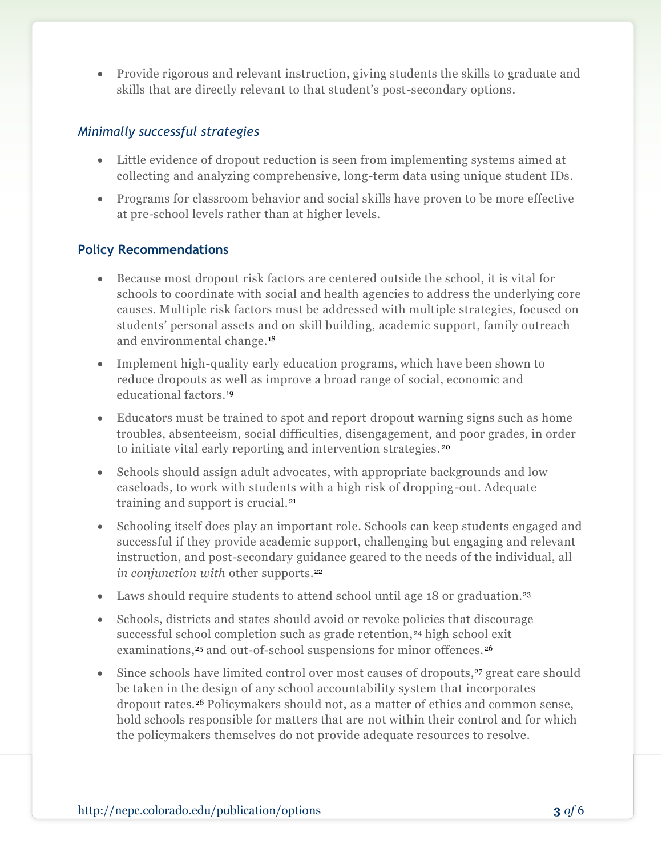Provide rigorous and relevant instruction, giving students the skills to graduate and skills that are directly relevant to that student's post-secondary options.

### *Minimally successful strategies*

- Little evidence of dropout reduction is seen from implementing systems aimed at collecting and analyzing comprehensive, long-term data using unique student IDs.
- Programs for classroom behavior and social skills have proven to be more effective at pre-school levels rather than at higher levels.

### **Policy Recommendations**

- Because most dropout risk factors are centered outside the school, it is vital for schools to coordinate with social and health agencies to address the underlying core causes. Multiple risk factors must be addressed with multiple strategies, focused on students' personal assets and on skill building, academic support, family outreach and environmental change.<sup>18</sup>
- Implement high-quality early education programs, which have been shown to reduce dropouts as well as improve a broad range of social, economic and educational factors.<sup>19</sup>
- Educators must be trained to spot and report dropout warning signs such as home troubles, absenteeism, social difficulties, disengagement, and poor grades, in order to initiate vital early reporting and intervention strategies. <sup>20</sup>
- Schools should assign adult advocates, with appropriate backgrounds and low caseloads, to work with students with a high risk of dropping-out. Adequate training and support is crucial.<sup>21</sup>
- Schooling itself does play an important role. Schools can keep students engaged and successful if they provide academic support, challenging but engaging and relevant instruction, and post-secondary guidance geared to the needs of the individual, all *in conjunction with other supports.*<sup>22</sup>
- Laws should require students to attend school until age 18 or graduation.<sup>23</sup>
- Schools, districts and states should avoid or revoke policies that discourage successful school completion such as grade retention, <sup>24</sup> high school exit examinations,<sup>25</sup> and out-of-school suspensions for minor offences.<sup>26</sup>
- Since schools have limited control over most causes of dropouts,<sup>27</sup> great care should be taken in the design of any school accountability system that incorporates dropout rates.<sup>28</sup> Policymakers should not, as a matter of ethics and common sense, hold schools responsible for matters that are not within their control and for which the policymakers themselves do not provide adequate resources to resolve.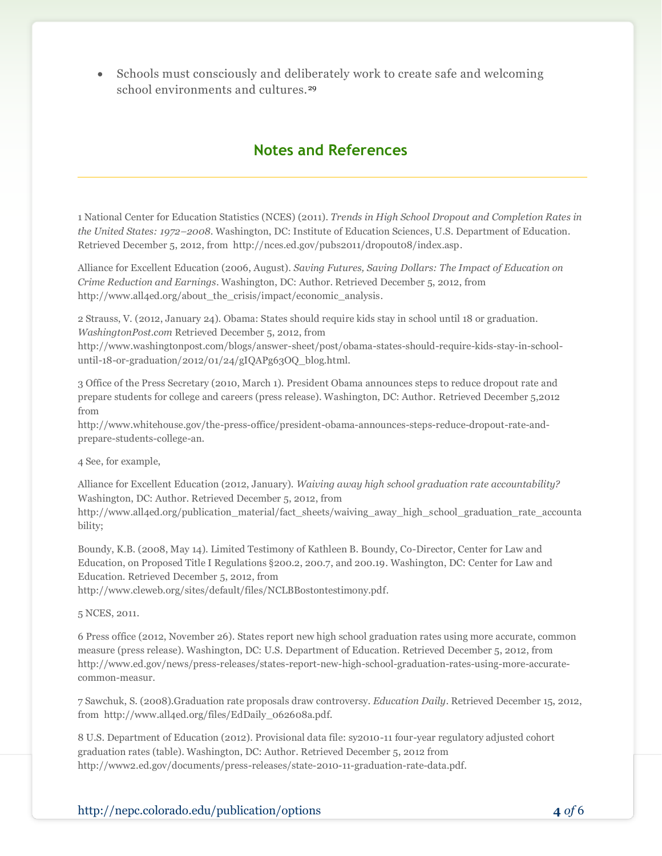Schools must consciously and deliberately work to create safe and welcoming school environments and cultures.<sup>29</sup>

## **Notes and References**

1 National Center for Education Statistics (NCES) (2011). *[Trends in High School Dropout and Completion Rates in](http://nces.ed.gov/pubs2011/dropout08/index.asp)  [the United States: 1972](http://nces.ed.gov/pubs2011/dropout08/index.asp)–2008*. Washington, DC: Institute of Education Sciences, U.S. Department of Education. Retrieved December 5, 2012, from http://nces.ed.gov/pubs2011/dropout08/index.asp.

Alliance for Excellent Education (2006, August). *Saving Futures, Saving Dollars: The Impact of Education on Crime Reduction and Earnings*. Washington, DC: Author. Retrieved December 5, 2012, from http://www.all4ed.org/about\_the\_crisis/impact/economic\_analysis.

2 Strauss, V. (2012, January 24). Obama: States should require kids stay in school until 18 or graduation. *WashingtonPost.com* Retrieved December 5, 2012, from

http://www.washingtonpost.com/blogs/answer-sheet/post/obama-states-should-require-kids-stay-in-schooluntil-18-or-graduation/2012/01/24/gIQAPg63OQ\_blog.html.

3 Office of the Press Secretary (2010, March 1). President Obama announces steps to reduce dropout rate and prepare students for college and careers (press release). Washington, DC: Author. Retrieved December 5,2012 from

http://www.whitehouse.gov/the-press-office/president-obama-announces-steps-reduce-dropout-rate-andprepare-students-college-an.

4 See, for example,

Alliance for Excellent Education (2012, January). *Waiving away high school graduation rate accountability?* Washington, DC: Author. Retrieved December 5, 2012, from

http://www.all4ed.org/publication\_material/fact\_sheets/waiving\_away\_high\_school\_graduation\_rate\_accounta bility;

Boundy, K.B. (2008, May 14). Limited Testimony of Kathleen B. Boundy, Co-Director, Center for Law and Education, on Proposed Title I Regulations §200.2, 200.7, and 200.19. Washington, DC: Center for Law and Education. Retrieved December 5, 2012, from

http://www.cleweb.org/sites/default/files/NCLBBostontestimony.pdf.

5 NCES, 2011.

6 Press office (2012, November 26). States report new high school graduation rates using more accurate, common measure (press release). Washington, DC: U.S. Department of Education. Retrieved December 5, 2012, from http://www.ed.gov/news/press-releases/states-report-new-high-school-graduation-rates-using-more-accuratecommon-measur.

7 Sawchuk, S. (2008).Graduation rate proposals draw controversy. *Education Daily*. Retrieved December 15, 2012, from http://www.all4ed.org/files/EdDaily\_062608a.pdf.

8 U.S. Department of Education (2012). Provisional data file: sy2010-11 four-year regulatory adjusted cohort graduation rates (table). Washington, DC: Author. Retrieved December 5, 2012 from http://www2.ed.gov/documents/press-releases/state-2010-11-graduation-rate-data.pdf.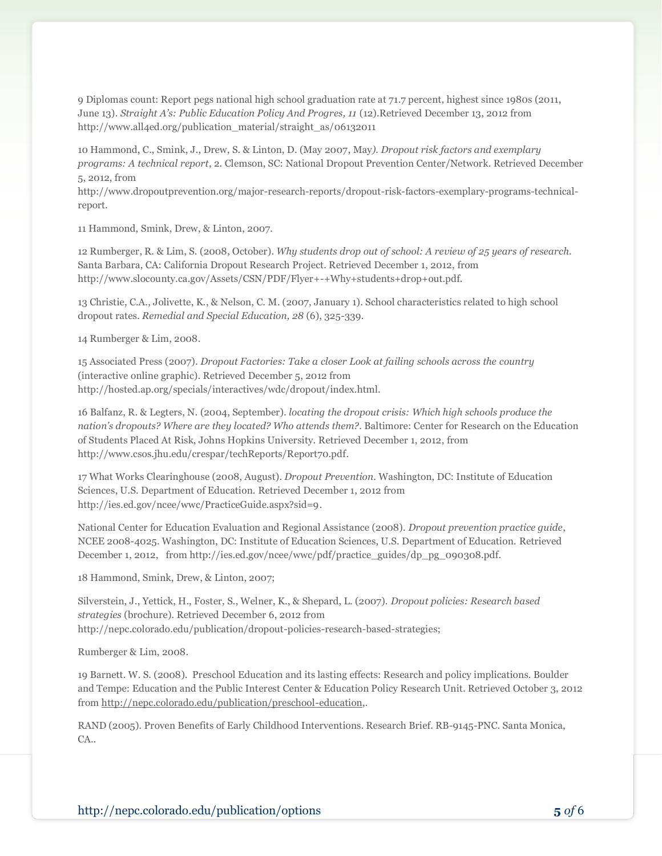9 Diplomas count: Report pegs national high school graduation rate at 71.7 percent, highest since 1980s (2011, June 13). *Straight A's: Public Education Policy And Progres, 11* (12).Retrieved December 13, 2012 from http://www.all4ed.org/publication\_material/straight\_as/06132011

10 Hammond, C., Smink, J., Drew, S. & Linton, D. (May 2007, May*). Dropout risk factors and exemplary programs: A technical report*, 2. Clemson, SC: National Dropout Prevention Center/Network. Retrieved December 5, 2012, from

http://www.dropoutprevention.org/major-research-reports/dropout-risk-factors-exemplary-programs-technicalreport.

11 Hammond, Smink, Drew, & Linton, 2007.

12 Rumberger, R. & Lim, S. (2008, October). *Why students drop out of school: A review of 25 years of research.* Santa Barbara, CA: California Dropout Research Project. Retrieved December 1, 2012, from http://www.slocounty.ca.gov/Assets/CSN/PDF/Flyer+-+Why+students+drop+out.pdf.

13 Christie, C.A., Jolivette, K., & Nelson, C. M. (2007, January 1). School characteristics related to high school dropout rates. *Remedial and Special Education, 28* (6), 325-339.

14 Rumberger & Lim, 2008.

15 Associated Press (2007). *Dropout Factories: Take a closer Look at failing schools across the country* (interactive online graphic). Retrieved December 5, 2012 from http://hosted.ap.org/specials/interactives/wdc/dropout/index.html.

16 Balfanz, R. & Legters, N. (2004, September). *locating the dropout crisis: Which high schools produce the nation's dropouts? Where are they located? Who attends them?*. Baltimore: Center for Research on the Education of Students Placed At Risk, Johns Hopkins University. Retrieved December 1, 2012, from http://www.csos.jhu.edu/crespar/techReports/Report70.pdf.

17 What Works Clearinghouse (2008, August). *Dropout Prevention*. Washington, DC: Institute of Education Sciences, U.S. Department of Education. Retrieved December 1, 2012 from http://ies.ed.gov/ncee/wwc/PracticeGuide.aspx?sid=9.

National Center for Education Evaluation and Regional Assistance (2008). *Dropout prevention practice guide*, NCEE 2008-4025. Washington, DC: Institute of Education Sciences, U.S. Department of Education. Retrieved December 1, 2012, from http://ies.ed.gov/ncee/wwc/pdf/practice\_guides/dp\_pg\_090308.pdf.

18 Hammond, Smink, Drew, & Linton, 2007;

Silverstein, J., Yettick, H., Foster, S., Welner, K., & Shepard, L. (2007). *Dropout policies: Research based strategies* (brochure). Retrieved December 6, 2012 from http://nepc.colorado.edu/publication/dropout-policies-research-based-strategies;

Rumberger & Lim, 2008.

19 Barnett. W. S. (2008). Preschool Education and its lasting effects: Research and policy implications. Boulder and Tempe: Education and the Public Interest Center & Education Policy Research Unit. Retrieved October 3, 2012 from [http://nepc.colorado.edu/publication/preschool-education,.](http://nepc.colorado.edu/publication/preschool-education)

RAND (2005). Proven Benefits of Early Childhood Interventions. Research Brief. RB-9145-PNC. Santa Monica, CA.